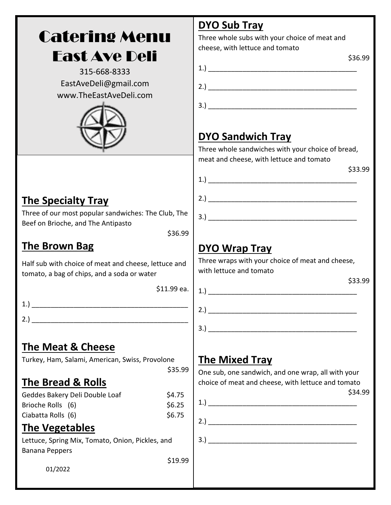# Catering Menu East Ave Deli

315-668-8333 EastAveDeli@gmail.com www.TheEastAveDeli.com



# **DYO Sub Tray**

Three whole subs with your choice of meat and cheese, with lettuce and tomato

|                | \$36.99 |
|----------------|---------|
| $\mathbf{1}$ . |         |
| 2.             |         |
|                |         |
| 3.             |         |

#### **DYO Sandwich Tray**

Three whole sandwiches with your choice of bread, meat and cheese, with lettuce and tomato

 $1.$ )

2.) \_\_\_\_\_\_\_\_\_\_\_\_\_\_\_\_\_\_\_\_\_\_\_\_\_\_\_\_\_\_\_\_\_\_\_\_\_\_\_

3.) \_\_\_\_\_\_\_\_\_\_\_\_\_\_\_\_\_\_\_\_\_\_\_\_\_\_\_\_\_\_\_\_\_\_\_\_\_\_\_

\$33.99

#### **The Specialty Tray**

Three of our most popular sandwiches: The Club, The Beef on Brioche, and The Antipasto

\$36.99

#### **The Brown Bag**

Half sub with choice of meat and cheese, lettuce and tomato, a bag of chips, and a soda or water

\$11.99 ea.

1.) \_\_\_\_\_\_\_\_\_\_\_\_\_\_\_\_\_\_\_\_\_\_\_\_\_\_\_\_\_\_\_\_\_\_\_\_\_\_\_\_\_

- $2.$ )
- 

#### **The Meat & Cheese**

Turkey, Ham, Salami, American, Swiss, Provolone

\$35.99

#### **The Bread & Rolls**

| Geddes Bakery Deli Double Loaf | \$4.75 |
|--------------------------------|--------|
| Brioche Rolls (6)              | \$6.25 |
| Ciabatta Rolls (6)             | \$6.75 |

#### **The Vegetables**

Lettuce, Spring Mix, Tomato, Onion, Pickles, and Banana Peppers

\$19.99

01/2022

## **DYO Wrap Tray**

Three wraps with your choice of meat and cheese, with lettuce and tomato

1.) \_\_\_\_\_\_\_\_\_\_\_\_\_\_\_\_\_\_\_\_\_\_\_\_\_\_\_\_\_\_\_\_\_\_\_\_\_\_\_

\$33.99

# 2.) \_\_\_\_\_\_\_\_\_\_\_\_\_\_\_\_\_\_\_\_\_\_\_\_\_\_\_\_\_\_\_\_\_\_\_\_\_\_\_

 $3.$ )

## **The Mixed Tray**

One sub, one sandwich, and one wrap, all with your choice of meat and cheese, with lettuce and tomato \$34.99

1.) \_\_\_\_\_\_\_\_\_\_\_\_\_\_\_\_\_\_\_\_\_\_\_\_\_\_\_\_\_\_\_\_\_\_\_\_\_\_\_

 $2.$ )

3.) \_\_\_\_\_\_\_\_\_\_\_\_\_\_\_\_\_\_\_\_\_\_\_\_\_\_\_\_\_\_\_\_\_\_\_\_\_\_\_